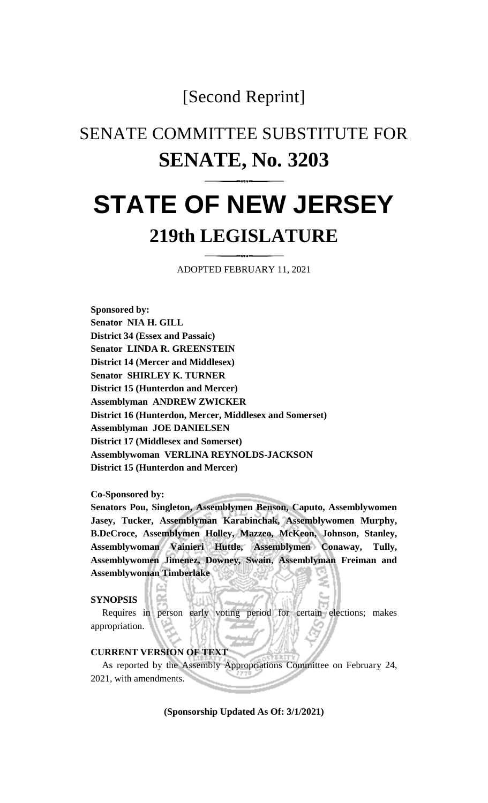### [Second Reprint]

## SENATE COMMITTEE SUBSTITUTE FOR **SENATE, No. 3203**

# **STATE OF NEW JERSEY 219th LEGISLATURE**

ADOPTED FEBRUARY 11, 2021

**Sponsored by: Senator NIA H. GILL District 34 (Essex and Passaic) Senator LINDA R. GREENSTEIN District 14 (Mercer and Middlesex) Senator SHIRLEY K. TURNER District 15 (Hunterdon and Mercer) Assemblyman ANDREW ZWICKER District 16 (Hunterdon, Mercer, Middlesex and Somerset) Assemblyman JOE DANIELSEN District 17 (Middlesex and Somerset) Assemblywoman VERLINA REYNOLDS-JACKSON District 15 (Hunterdon and Mercer)**

**Co-Sponsored by:**

**Senators Pou, Singleton, Assemblymen Benson, Caputo, Assemblywomen Jasey, Tucker, Assemblyman Karabinchak, Assemblywomen Murphy, B.DeCroce, Assemblymen Holley, Mazzeo, McKeon, Johnson, Stanley, Assemblywoman Vainieri Huttle, Assemblymen Conaway, Tully, Assemblywomen Jimenez, Downey, Swain, Assemblyman Freiman and Assemblywoman Timberlake**

#### **SYNOPSIS**

Requires in person early voting period for certain elections; makes appropriation.

#### **CURRENT VERSION OF TEXT**

As reported by the Assembly Appropriations Committee on February 24, 2021, with amendments.

**(Sponsorship Updated As Of: 3/1/2021)**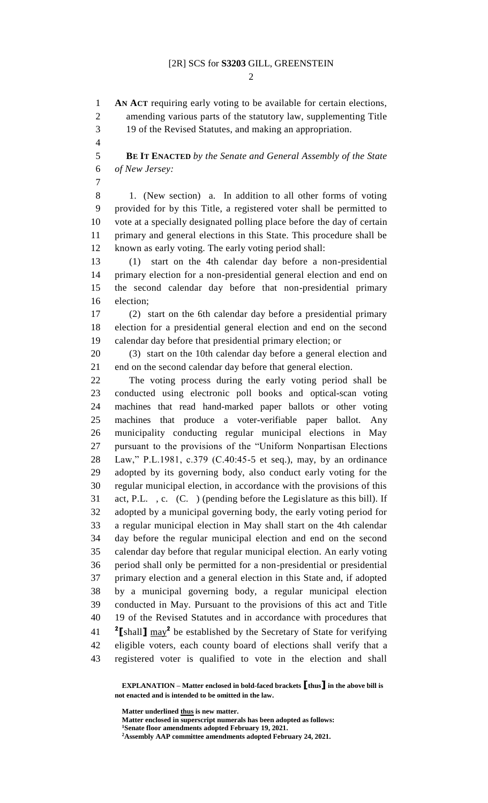$\mathcal{D}_{\mathcal{L}}$ 

 **AN ACT** requiring early voting to be available for certain elections, amending various parts of the statutory law, supplementing Title 19 of the Revised Statutes, and making an appropriation. **BE IT ENACTED** *by the Senate and General Assembly of the State of New Jersey:* 1. (New section) a. In addition to all other forms of voting provided for by this Title, a registered voter shall be permitted to vote at a specially designated polling place before the day of certain primary and general elections in this State. This procedure shall be known as early voting. The early voting period shall: (1) start on the 4th calendar day before a non-presidential primary election for a non-presidential general election and end on the second calendar day before that non-presidential primary election; (2) start on the 6th calendar day before a presidential primary election for a presidential general election and end on the second calendar day before that presidential primary election; or (3) start on the 10th calendar day before a general election and end on the second calendar day before that general election. The voting process during the early voting period shall be conducted using electronic poll books and optical-scan voting machines that read hand-marked paper ballots or other voting machines that produce a voter-verifiable paper ballot. Any municipality conducting regular municipal elections in May pursuant to the provisions of the "Uniform Nonpartisan Elections Law," P.L.1981, c.379 (C.40:45-5 et seq.), may, by an ordinance adopted by its governing body, also conduct early voting for the regular municipal election, in accordance with the provisions of this act, P.L. , c. (C. ) (pending before the Legislature as this bill). If adopted by a municipal governing body, the early voting period for a regular municipal election in May shall start on the 4th calendar day before the regular municipal election and end on the second calendar day before that regular municipal election. An early voting period shall only be permitted for a non-presidential or presidential primary election and a general election in this State and, if adopted by a municipal governing body, a regular municipal election conducted in May. Pursuant to the provisions of this act and Title 19 of the Revised Statutes and in accordance with procedures that [shall]  $\frac{\text{max}^2}{\text{max}}$  be established by the Secretary of State for verifying eligible voters, each county board of elections shall verify that a registered voter is qualified to vote in the election and shall

**EXPLANATION – Matter enclosed in bold-faced brackets [thus] in the above bill is not enacted and is intended to be omitted in the law.**

**Matter underlined thus is new matter.**

**Matter enclosed in superscript numerals has been adopted as follows: Senate floor amendments adopted February 19, 2021.**

**Assembly AAP committee amendments adopted February 24, 2021.**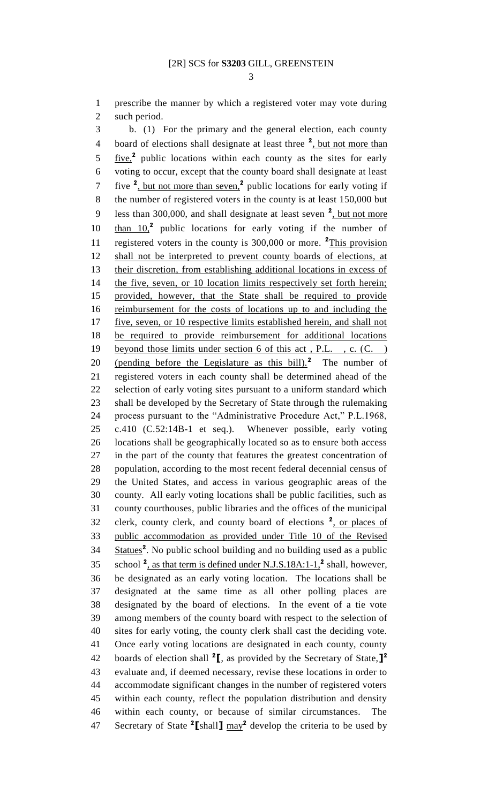prescribe the manner by which a registered voter may vote during such period.

 b. (1) For the primary and the general election, each county 4 board of elections shall designate at least three <sup>2</sup>, but not more than 5 five,<sup>2</sup> public locations within each county as the sites for early voting to occur, except that the county board shall designate at least 7 five <sup>2</sup>, but not more than seven,<sup>2</sup> public locations for early voting if the number of registered voters in the county is at least 150,000 but 9 less than 300,000, and shall designate at least seven <sup>2</sup>, but not more 10 than 10,<sup>2</sup> public locations for early voting if the number of 11 registered voters in the county is 300,000 or more. <sup>2</sup>This provision shall not be interpreted to prevent county boards of elections, at their discretion, from establishing additional locations in excess of 14 the five, seven, or 10 location limits respectively set forth herein; provided, however, that the State shall be required to provide 16 reimbursement for the costs of locations up to and including the five, seven, or 10 respective limits established herein, and shall not be required to provide reimbursement for additional locations 19 beyond those limits under section 6 of this act, P.L., c. (C.) 20 (pending before the Legislature as this bill).<sup>2</sup> The number of registered voters in each county shall be determined ahead of the selection of early voting sites pursuant to a uniform standard which shall be developed by the Secretary of State through the rulemaking process pursuant to the "Administrative Procedure Act," P.L.1968, c.410 (C.52:14B-1 et seq.). Whenever possible, early voting locations shall be geographically located so as to ensure both access in the part of the county that features the greatest concentration of population, according to the most recent federal decennial census of the United States, and access in various geographic areas of the county. All early voting locations shall be public facilities, such as county courthouses, public libraries and the offices of the municipal 32 clerk, county clerk, and county board of elections <sup>2</sup>, or places of public accommodation as provided under Title 10 of the Revised 34 Statues<sup>2</sup>. No public school building and no building used as a public 35 school <sup>2</sup>, as that term is defined under N.J.S.18A:1-1,<sup>2</sup> shall, however, be designated as an early voting location. The locations shall be designated at the same time as all other polling places are designated by the board of elections. In the event of a tie vote among members of the county board with respect to the selection of sites for early voting, the county clerk shall cast the deciding vote. Once early voting locations are designated in each county, county boards of election shall **<sup>2</sup> [**, as provided by the Secretary of State,**] 2** evaluate and, if deemed necessary, revise these locations in order to accommodate significant changes in the number of registered voters within each county, reflect the population distribution and density within each county, or because of similar circumstances. The  $\frac{47}{100}$  Secretary of State <sup>2</sup> [shall]  $\frac{may^2}{2}$  develop the criteria to be used by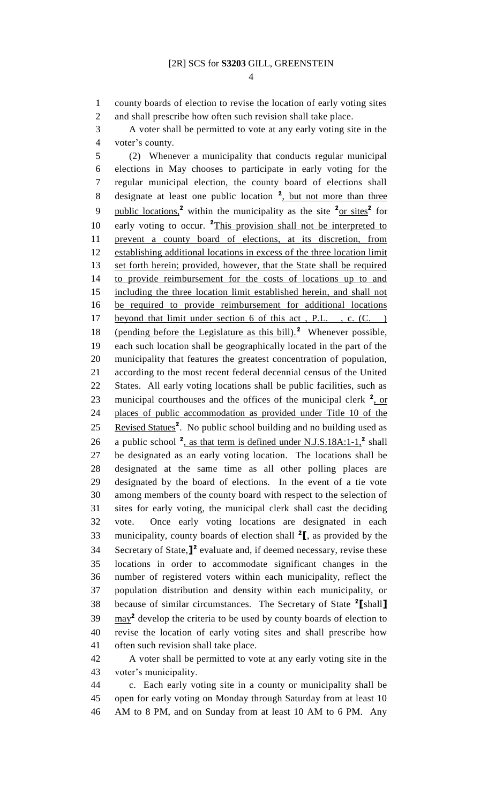county boards of election to revise the location of early voting sites and shall prescribe how often such revision shall take place.

 A voter shall be permitted to vote at any early voting site in the voter's county.

 (2) Whenever a municipality that conducts regular municipal elections in May chooses to participate in early voting for the regular municipal election, the county board of elections shall 8 designate at least one public location <sup>2</sup>, but not more than three 9 public locations,<sup>2</sup> within the municipality as the site  $2$ <sub>Or sites</sub><sup>2</sup> for 10 early voting to occur. <sup>2</sup>This provision shall not be interpreted to prevent a county board of elections, at its discretion, from 12 establishing additional locations in excess of the three location limit 13 set forth herein; provided, however, that the State shall be required to provide reimbursement for the costs of locations up to and including the three location limit established herein, and shall not be required to provide reimbursement for additional locations beyond that limit under section 6 of this act , P.L. , c. (C. ) 18 (pending before the Legislature as this bill).<sup>2</sup> Whenever possible, each such location shall be geographically located in the part of the municipality that features the greatest concentration of population, according to the most recent federal decennial census of the United States. All early voting locations shall be public facilities, such as 23 municipal courthouses and the offices of the municipal clerk <sup>2</sup>, or places of public accommodation as provided under Title 10 of the 25 Revised Statues<sup>2</sup>. No public school building and no building used as 26 a public school <sup>2</sup>, as that term is defined under N.J.S.18A:1-1,<sup>2</sup> shall be designated as an early voting location. The locations shall be designated at the same time as all other polling places are designated by the board of elections. In the event of a tie vote among members of the county board with respect to the selection of sites for early voting, the municipal clerk shall cast the deciding vote. Once early voting locations are designated in each 33 municipality, county boards of election shall <sup>2</sup>, as provided by the 34 Secretary of State, $]^2$  evaluate and, if deemed necessary, revise these locations in order to accommodate significant changes in the number of registered voters within each municipality, reflect the population distribution and density within each municipality, or because of similar circumstances. The Secretary of State **<sup>2</sup> [**shall**]**  $\text{may}^2$  develop the criteria to be used by county boards of election to revise the location of early voting sites and shall prescribe how often such revision shall take place.

 A voter shall be permitted to vote at any early voting site in the voter's municipality.

 c. Each early voting site in a county or municipality shall be open for early voting on Monday through Saturday from at least 10 AM to 8 PM, and on Sunday from at least 10 AM to 6 PM. Any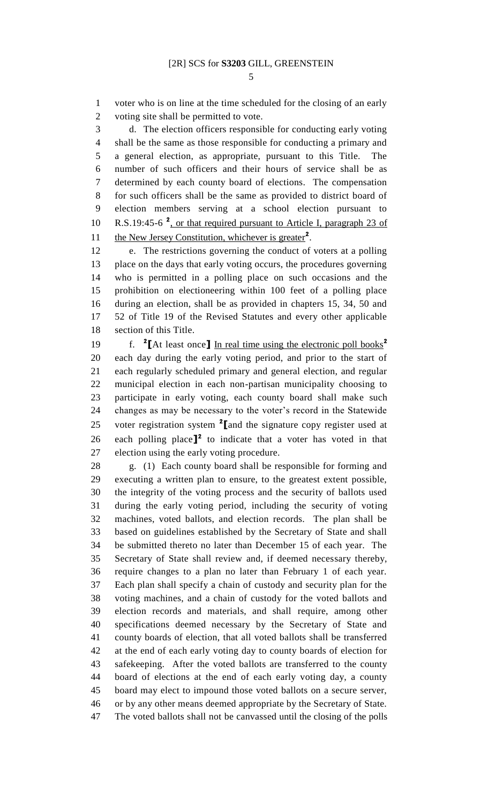voter who is on line at the time scheduled for the closing of an early voting site shall be permitted to vote.

 d. The election officers responsible for conducting early voting shall be the same as those responsible for conducting a primary and a general election, as appropriate, pursuant to this Title. The number of such officers and their hours of service shall be as determined by each county board of elections. The compensation for such officers shall be the same as provided to district board of election members serving at a school election pursuant to 10 R.S.19:45-6<sup>2</sup>, or that required pursuant to Article I, paragraph 23 of 11 the New Jersey Constitution, whichever is greater<sup>2</sup>.

 e. The restrictions governing the conduct of voters at a polling place on the days that early voting occurs, the procedures governing who is permitted in a polling place on such occasions and the prohibition on electioneering within 100 feet of a polling place during an election, shall be as provided in chapters 15, 34, 50 and 52 of Title 19 of the Revised Statutes and every other applicable section of this Title.

f. **<sup>2</sup> [**At least once**]** In real time using the electronic poll books**<sup>2</sup>** each day during the early voting period, and prior to the start of each regularly scheduled primary and general election, and regular municipal election in each non-partisan municipality choosing to participate in early voting, each county board shall make such changes as may be necessary to the voter's record in the Statewide 25 voter registration system <sup>2</sup> [and the signature copy register used at 26 each polling place<sup> $]^2$ </sup> to indicate that a voter has voted in that election using the early voting procedure.

 g. (1) Each county board shall be responsible for forming and executing a written plan to ensure, to the greatest extent possible, the integrity of the voting process and the security of ballots used during the early voting period, including the security of voting machines, voted ballots, and election records. The plan shall be based on guidelines established by the Secretary of State and shall be submitted thereto no later than December 15 of each year. The Secretary of State shall review and, if deemed necessary thereby, require changes to a plan no later than February 1 of each year. Each plan shall specify a chain of custody and security plan for the voting machines, and a chain of custody for the voted ballots and election records and materials, and shall require, among other specifications deemed necessary by the Secretary of State and county boards of election, that all voted ballots shall be transferred at the end of each early voting day to county boards of election for safekeeping. After the voted ballots are transferred to the county board of elections at the end of each early voting day, a county board may elect to impound those voted ballots on a secure server, or by any other means deemed appropriate by the Secretary of State. The voted ballots shall not be canvassed until the closing of the polls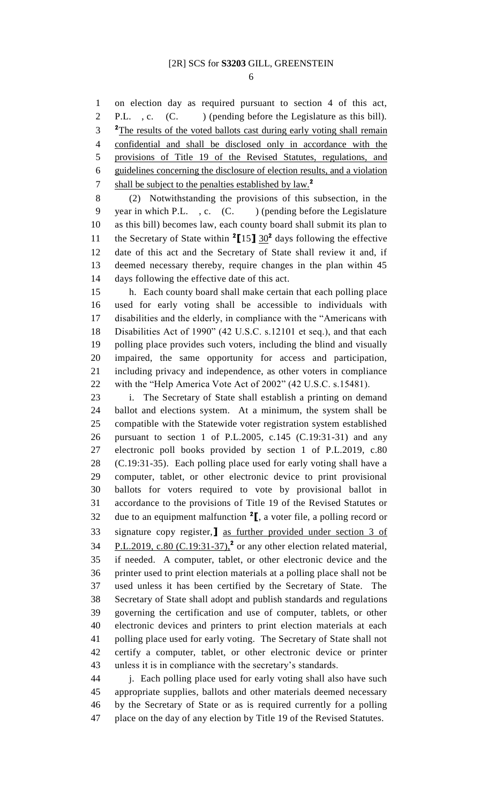on election day as required pursuant to section 4 of this act, 2 P.L., c. (C. ) (pending before the Legislature as this bill). <sup>2</sup>The results of the voted ballots cast during early voting shall remain confidential and shall be disclosed only in accordance with the provisions of Title 19 of the Revised Statutes, regulations, and guidelines concerning the disclosure of election results, and a violation shall be subject to the penalties established by law.**<sup>2</sup>** 

 (2) Notwithstanding the provisions of this subsection, in the 9 year in which P.L., c. (C.) (pending before the Legislature as this bill) becomes law, each county board shall submit its plan to 11 the Secretary of State within  ${}^{2}$ [15]  $30^{2}$  days following the effective date of this act and the Secretary of State shall review it and, if deemed necessary thereby, require changes in the plan within 45 days following the effective date of this act.

 h. Each county board shall make certain that each polling place used for early voting shall be accessible to individuals with disabilities and the elderly, in compliance with the "Americans with Disabilities Act of 1990" (42 U.S.C. s.12101 et seq.), and that each polling place provides such voters, including the blind and visually impaired, the same opportunity for access and participation, including privacy and independence, as other voters in compliance with the "Help America Vote Act of 2002" (42 U.S.C. s.15481).

 i. The Secretary of State shall establish a printing on demand ballot and elections system. At a minimum, the system shall be compatible with the Statewide voter registration system established pursuant to section 1 of P.L.2005, c.145 (C.19:31-31) and any electronic poll books provided by section 1 of P.L.2019, c.80 (C.19:31-35). Each polling place used for early voting shall have a computer, tablet, or other electronic device to print provisional ballots for voters required to vote by provisional ballot in accordance to the provisions of Title 19 of the Revised Statutes or 32 due to an equipment malfunction  ${}^{2}$ [, a voter file, a polling record or signature copy register,**]** as further provided under section 3 of  $P.L.2019$ , c.80 (C.19:31-37),<sup>2</sup> or any other election related material, if needed. A computer, tablet, or other electronic device and the printer used to print election materials at a polling place shall not be used unless it has been certified by the Secretary of State. The Secretary of State shall adopt and publish standards and regulations governing the certification and use of computer, tablets, or other electronic devices and printers to print election materials at each polling place used for early voting. The Secretary of State shall not certify a computer, tablet, or other electronic device or printer unless it is in compliance with the secretary's standards.

 j. Each polling place used for early voting shall also have such appropriate supplies, ballots and other materials deemed necessary by the Secretary of State or as is required currently for a polling place on the day of any election by Title 19 of the Revised Statutes.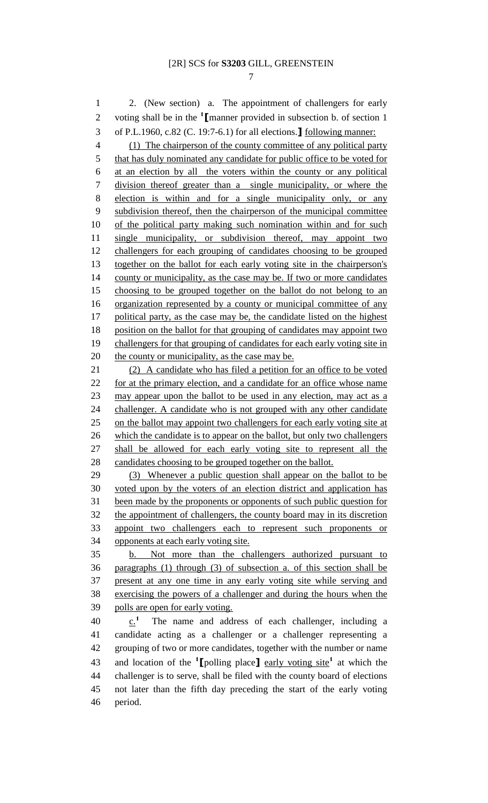2. (New section) a. The appointment of challengers for early

2 voting shall be in the <sup>1</sup>I manner provided in subsection b. of section 1 of P.L.1960, c.82 (C. 19:7-6.1) for all elections.**]** following manner: (1) The chairperson of the county committee of any political party 5 that has duly nominated any candidate for public office to be voted for at an election by all the voters within the county or any political division thereof greater than a single municipality, or where the election is within and for a single municipality only, or any subdivision thereof, then the chairperson of the municipal committee of the political party making such nomination within and for such single municipality, or subdivision thereof, may appoint two challengers for each grouping of candidates choosing to be grouped together on the ballot for each early voting site in the chairperson's 14 county or municipality, as the case may be. If two or more candidates choosing to be grouped together on the ballot do not belong to an organization represented by a county or municipal committee of any 17 political party, as the case may be, the candidate listed on the highest 18 position on the ballot for that grouping of candidates may appoint two 19 challengers for that grouping of candidates for each early voting site in 20 the county or municipality, as the case may be. (2) A candidate who has filed a petition for an office to be voted for at the primary election, and a candidate for an office whose name may appear upon the ballot to be used in any election, may act as a 24 challenger. A candidate who is not grouped with any other candidate on the ballot may appoint two challengers for each early voting site at 26 which the candidate is to appear on the ballot, but only two challengers shall be allowed for each early voting site to represent all the candidates choosing to be grouped together on the ballot. (3) Whenever a public question shall appear on the ballot to be voted upon by the voters of an election district and application has been made by the proponents or opponents of such public question for the appointment of challengers, the county board may in its discretion appoint two challengers each to represent such proponents or opponents at each early voting site. b. Not more than the challengers authorized pursuant to paragraphs (1) through (3) of subsection a. of this section shall be present at any one time in any early voting site while serving and exercising the powers of a challenger and during the hours when the polls are open for early voting.  $c^{1}$  $\therefore$  The name and address of each challenger, including a candidate acting as a challenger or a challenger representing a grouping of two or more candidates, together with the number or name and location of the **<sup>1</sup> [**polling place**]** early voting site**<sup>1</sup>** at which the challenger is to serve, shall be filed with the county board of elections not later than the fifth day preceding the start of the early voting period.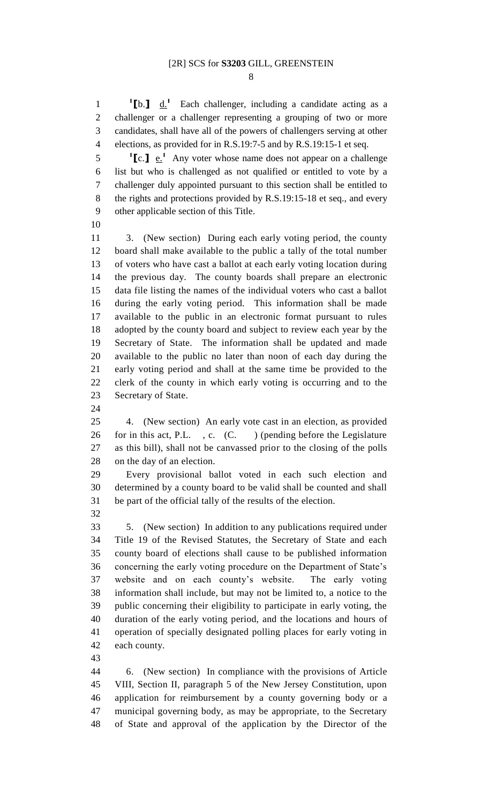**[b.]**  $\underline{d}$ <sup>1</sup> Each challenger, including a candidate acting as a challenger or a challenger representing a grouping of two or more candidates, shall have all of the powers of challengers serving at other elections, as provided for in R.S.19:7-5 and by R.S.19:15-1 et seq.

 **[c.]**  $e^{i}$  Any voter whose name does not appear on a challenge list but who is challenged as not qualified or entitled to vote by a challenger duly appointed pursuant to this section shall be entitled to the rights and protections provided by R.S.19:15-18 et seq., and every other applicable section of this Title.

 3. (New section) During each early voting period, the county board shall make available to the public a tally of the total number of voters who have cast a ballot at each early voting location during the previous day. The county boards shall prepare an electronic data file listing the names of the individual voters who cast a ballot during the early voting period. This information shall be made available to the public in an electronic format pursuant to rules adopted by the county board and subject to review each year by the Secretary of State. The information shall be updated and made available to the public no later than noon of each day during the early voting period and shall at the same time be provided to the clerk of the county in which early voting is occurring and to the Secretary of State.

 4. (New section) An early vote cast in an election, as provided 26 for in this act, P.L. , c.  $(C.$  ) (pending before the Legislature as this bill), shall not be canvassed prior to the closing of the polls on the day of an election.

 Every provisional ballot voted in each such election and determined by a county board to be valid shall be counted and shall be part of the official tally of the results of the election.

 5. (New section) In addition to any publications required under Title 19 of the Revised Statutes, the Secretary of State and each county board of elections shall cause to be published information concerning the early voting procedure on the Department of State's website and on each county's website. The early voting information shall include, but may not be limited to, a notice to the public concerning their eligibility to participate in early voting, the duration of the early voting period, and the locations and hours of operation of specially designated polling places for early voting in each county.

 6. (New section) In compliance with the provisions of Article VIII, Section II, paragraph 5 of the New Jersey Constitution, upon application for reimbursement by a county governing body or a municipal governing body, as may be appropriate, to the Secretary of State and approval of the application by the Director of the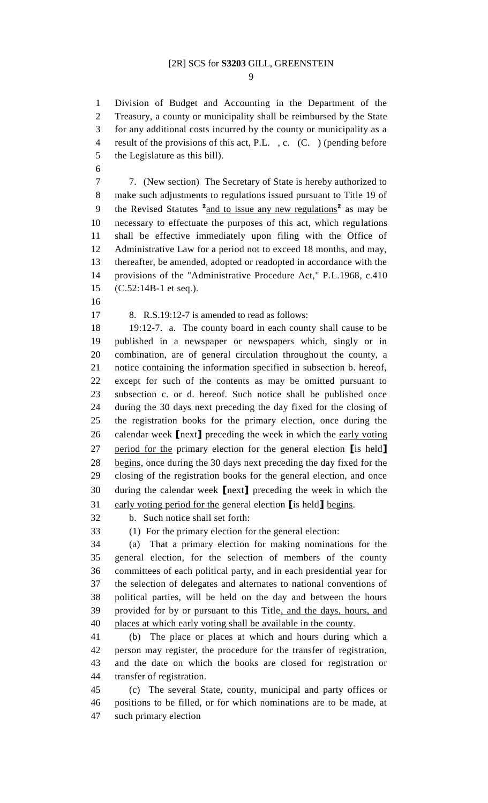Division of Budget and Accounting in the Department of the Treasury, a county or municipality shall be reimbursed by the State for any additional costs incurred by the county or municipality as a result of the provisions of this act, P.L. , c. (C. ) (pending before the Legislature as this bill).

 7. (New section) The Secretary of State is hereby authorized to make such adjustments to regulations issued pursuant to Title 19 of 9 the Revised Statutes <sup>2</sup> and to issue any new regulations<sup>2</sup> as may be necessary to effectuate the purposes of this act, which regulations shall be effective immediately upon filing with the Office of Administrative Law for a period not to exceed 18 months, and may, thereafter, be amended, adopted or readopted in accordance with the provisions of the "Administrative Procedure Act," P.L.1968, c.410 (C.52:14B-1 et seq.).

8. R.S.19:12-7 is amended to read as follows:

 19:12-7. a. The county board in each county shall cause to be published in a newspaper or newspapers which, singly or in combination, are of general circulation throughout the county, a notice containing the information specified in subsection b. hereof, except for such of the contents as may be omitted pursuant to subsection c. or d. hereof. Such notice shall be published once during the 30 days next preceding the day fixed for the closing of the registration books for the primary election, once during the calendar week **[**next**]** preceding the week in which the early voting period for the primary election for the general election **[**is held**]** begins, once during the 30 days next preceding the day fixed for the closing of the registration books for the general election, and once during the calendar week **[**next**]** preceding the week in which the early voting period for the general election **[**is held**]** begins.

b. Such notice shall set forth:

(1) For the primary election for the general election:

 (a) That a primary election for making nominations for the general election, for the selection of members of the county committees of each political party, and in each presidential year for the selection of delegates and alternates to national conventions of political parties, will be held on the day and between the hours provided for by or pursuant to this Title, and the days, hours, and places at which early voting shall be available in the county.

 (b) The place or places at which and hours during which a person may register, the procedure for the transfer of registration, and the date on which the books are closed for registration or transfer of registration.

 (c) The several State, county, municipal and party offices or positions to be filled, or for which nominations are to be made, at such primary election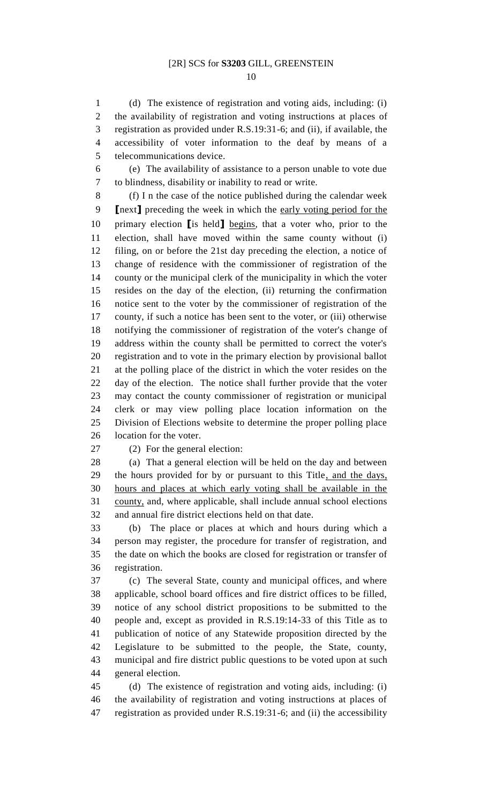(d) The existence of registration and voting aids, including: (i) the availability of registration and voting instructions at places of registration as provided under R.S.19:31-6; and (ii), if available, the accessibility of voter information to the deaf by means of a telecommunications device.

 (e) The availability of assistance to a person unable to vote due to blindness, disability or inability to read or write.

 (f) I n the case of the notice published during the calendar week **[**next**]** preceding the week in which the early voting period for the primary election **[**is held**]** begins, that a voter who, prior to the election, shall have moved within the same county without (i) filing, on or before the 21st day preceding the election, a notice of change of residence with the commissioner of registration of the county or the municipal clerk of the municipality in which the voter resides on the day of the election, (ii) returning the confirmation notice sent to the voter by the commissioner of registration of the county, if such a notice has been sent to the voter, or (iii) otherwise notifying the commissioner of registration of the voter's change of address within the county shall be permitted to correct the voter's registration and to vote in the primary election by provisional ballot at the polling place of the district in which the voter resides on the day of the election. The notice shall further provide that the voter may contact the county commissioner of registration or municipal clerk or may view polling place location information on the Division of Elections website to determine the proper polling place location for the voter.

(2) For the general election:

 (a) That a general election will be held on the day and between 29 the hours provided for by or pursuant to this Title, and the days, hours and places at which early voting shall be available in the county, and, where applicable, shall include annual school elections and annual fire district elections held on that date.

 (b) The place or places at which and hours during which a person may register, the procedure for transfer of registration, and the date on which the books are closed for registration or transfer of registration.

 (c) The several State, county and municipal offices, and where applicable, school board offices and fire district offices to be filled, notice of any school district propositions to be submitted to the people and, except as provided in R.S.19:14-33 of this Title as to publication of notice of any Statewide proposition directed by the Legislature to be submitted to the people, the State, county, municipal and fire district public questions to be voted upon at such general election.

 (d) The existence of registration and voting aids, including: (i) the availability of registration and voting instructions at places of registration as provided under R.S.19:31-6; and (ii) the accessibility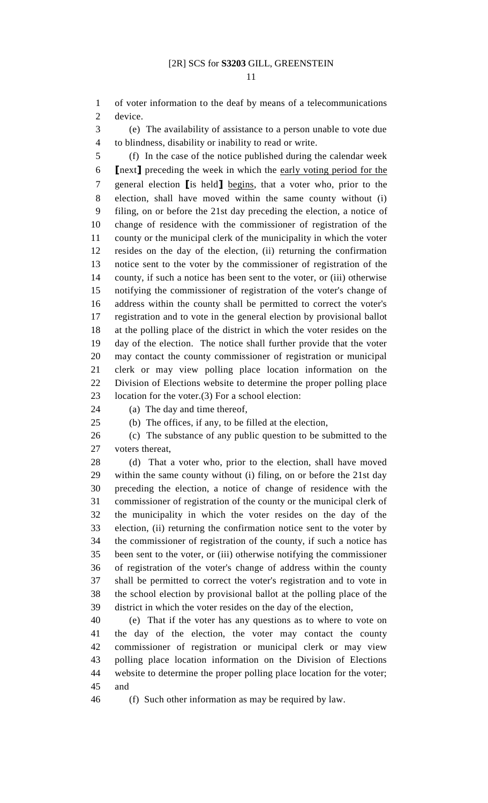of voter information to the deaf by means of a telecommunications device.

 (e) The availability of assistance to a person unable to vote due to blindness, disability or inability to read or write.

 (f) In the case of the notice published during the calendar week **[**next**]** preceding the week in which the early voting period for the general election **[**is held**]** begins, that a voter who, prior to the election, shall have moved within the same county without (i) filing, on or before the 21st day preceding the election, a notice of change of residence with the commissioner of registration of the county or the municipal clerk of the municipality in which the voter resides on the day of the election, (ii) returning the confirmation notice sent to the voter by the commissioner of registration of the county, if such a notice has been sent to the voter, or (iii) otherwise notifying the commissioner of registration of the voter's change of address within the county shall be permitted to correct the voter's registration and to vote in the general election by provisional ballot at the polling place of the district in which the voter resides on the day of the election. The notice shall further provide that the voter may contact the county commissioner of registration or municipal clerk or may view polling place location information on the Division of Elections website to determine the proper polling place location for the voter.(3) For a school election:

(a) The day and time thereof,

(b) The offices, if any, to be filled at the election,

 (c) The substance of any public question to be submitted to the voters thereat,

 (d) That a voter who, prior to the election, shall have moved within the same county without (i) filing, on or before the 21st day preceding the election, a notice of change of residence with the commissioner of registration of the county or the municipal clerk of the municipality in which the voter resides on the day of the election, (ii) returning the confirmation notice sent to the voter by the commissioner of registration of the county, if such a notice has been sent to the voter, or (iii) otherwise notifying the commissioner of registration of the voter's change of address within the county shall be permitted to correct the voter's registration and to vote in the school election by provisional ballot at the polling place of the district in which the voter resides on the day of the election,

 (e) That if the voter has any questions as to where to vote on the day of the election, the voter may contact the county commissioner of registration or municipal clerk or may view polling place location information on the Division of Elections website to determine the proper polling place location for the voter; and

(f) Such other information as may be required by law.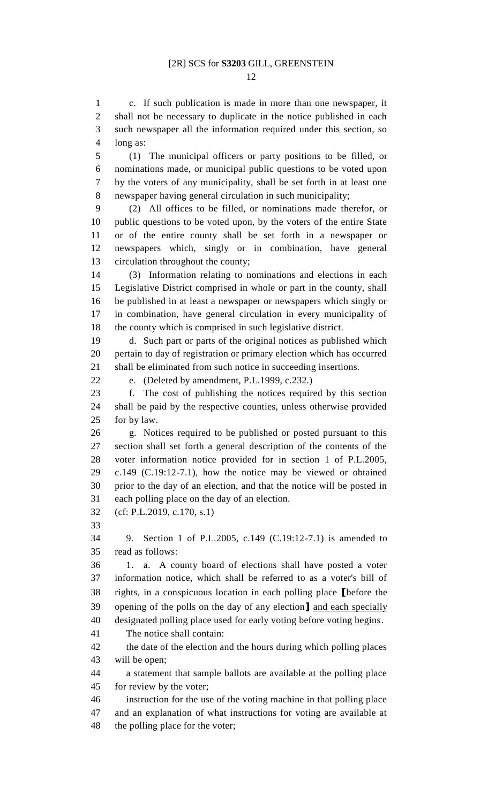c. If such publication is made in more than one newspaper, it 2 shall not be necessary to duplicate in the notice published in each such newspaper all the information required under this section, so long as:

 (1) The municipal officers or party positions to be filled, or nominations made, or municipal public questions to be voted upon by the voters of any municipality, shall be set forth in at least one newspaper having general circulation in such municipality;

 (2) All offices to be filled, or nominations made therefor, or public questions to be voted upon, by the voters of the entire State or of the entire county shall be set forth in a newspaper or newspapers which, singly or in combination, have general circulation throughout the county;

 (3) Information relating to nominations and elections in each Legislative District comprised in whole or part in the county, shall be published in at least a newspaper or newspapers which singly or in combination, have general circulation in every municipality of the county which is comprised in such legislative district.

 d. Such part or parts of the original notices as published which pertain to day of registration or primary election which has occurred shall be eliminated from such notice in succeeding insertions.

e. (Deleted by amendment, P.L.1999, c.232.)

 f. The cost of publishing the notices required by this section shall be paid by the respective counties, unless otherwise provided for by law.

 g. Notices required to be published or posted pursuant to this section shall set forth a general description of the contents of the voter information notice provided for in section 1 of P.L.2005, c.149 (C.19:12-7.1), how the notice may be viewed or obtained prior to the day of an election, and that the notice will be posted in each polling place on the day of an election.

(cf: P.L.2019, c.170, s.1)

 9. Section 1 of P.L.2005, c.149 (C.19:12-7.1) is amended to read as follows:

 1. a. A county board of elections shall have posted a voter information notice, which shall be referred to as a voter's bill of rights, in a conspicuous location in each polling place **[**before the opening of the polls on the day of any election**]** and each specially designated polling place used for early voting before voting begins.

The notice shall contain:

 the date of the election and the hours during which polling places will be open;

 a statement that sample ballots are available at the polling place for review by the voter;

 instruction for the use of the voting machine in that polling place and an explanation of what instructions for voting are available at the polling place for the voter;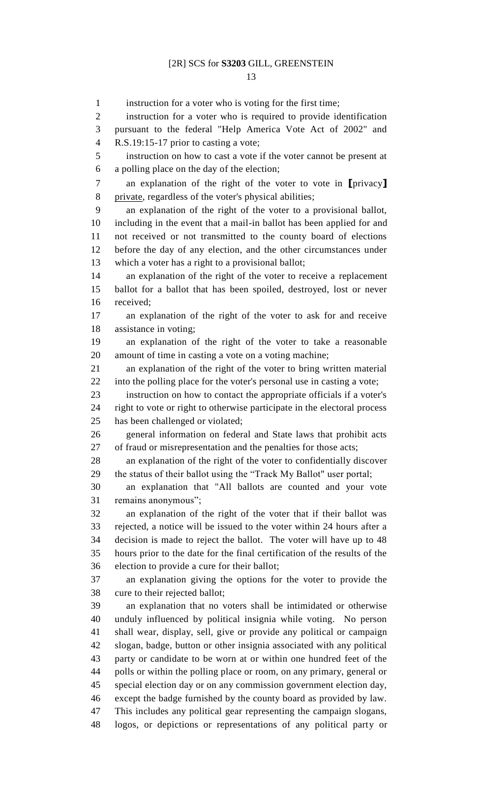instruction for a voter who is voting for the first time; instruction for a voter who is required to provide identification pursuant to the federal "Help America Vote Act of 2002" and R.S.19:15-17 prior to casting a vote; instruction on how to cast a vote if the voter cannot be present at a polling place on the day of the election; an explanation of the right of the voter to vote in **[**privacy**]** 8 private, regardless of the voter's physical abilities; an explanation of the right of the voter to a provisional ballot, including in the event that a mail-in ballot has been applied for and not received or not transmitted to the county board of elections before the day of any election, and the other circumstances under which a voter has a right to a provisional ballot; an explanation of the right of the voter to receive a replacement ballot for a ballot that has been spoiled, destroyed, lost or never received; an explanation of the right of the voter to ask for and receive assistance in voting; an explanation of the right of the voter to take a reasonable amount of time in casting a vote on a voting machine; an explanation of the right of the voter to bring written material into the polling place for the voter's personal use in casting a vote; instruction on how to contact the appropriate officials if a voter's right to vote or right to otherwise participate in the electoral process has been challenged or violated; general information on federal and State laws that prohibit acts of fraud or misrepresentation and the penalties for those acts; an explanation of the right of the voter to confidentially discover the status of their ballot using the "Track My Ballot" user portal; an explanation that "All ballots are counted and your vote remains anonymous"; an explanation of the right of the voter that if their ballot was rejected, a notice will be issued to the voter within 24 hours after a decision is made to reject the ballot. The voter will have up to 48 hours prior to the date for the final certification of the results of the election to provide a cure for their ballot; an explanation giving the options for the voter to provide the cure to their rejected ballot; an explanation that no voters shall be intimidated or otherwise unduly influenced by political insignia while voting. No person shall wear, display, sell, give or provide any political or campaign slogan, badge, button or other insignia associated with any political party or candidate to be worn at or within one hundred feet of the polls or within the polling place or room, on any primary, general or special election day or on any commission government election day, except the badge furnished by the county board as provided by law. This includes any political gear representing the campaign slogans, logos, or depictions or representations of any political party or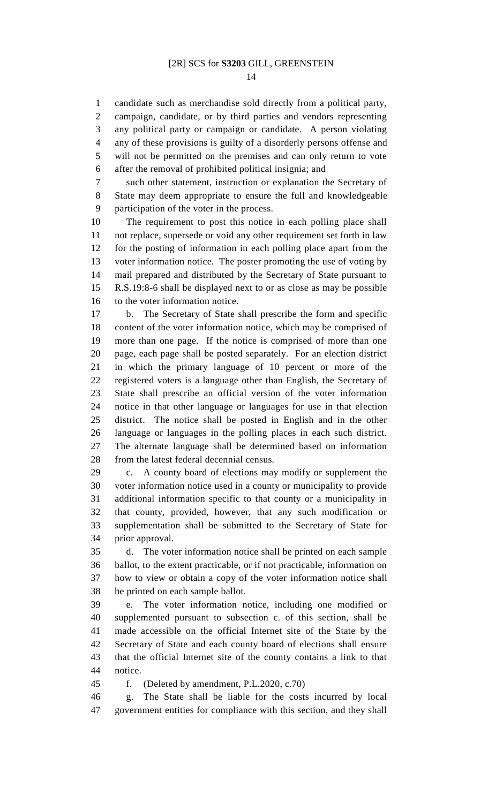candidate such as merchandise sold directly from a political party, campaign, candidate, or by third parties and vendors representing any political party or campaign or candidate. A person violating any of these provisions is guilty of a disorderly persons offense and will not be permitted on the premises and can only return to vote after the removal of prohibited political insignia; and

 such other statement, instruction or explanation the Secretary of State may deem appropriate to ensure the full and knowledgeable participation of the voter in the process.

 The requirement to post this notice in each polling place shall not replace, supersede or void any other requirement set forth in law for the posting of information in each polling place apart from the voter information notice. The poster promoting the use of voting by mail prepared and distributed by the Secretary of State pursuant to R.S.19:8-6 shall be displayed next to or as close as may be possible to the voter information notice.

 b. The Secretary of State shall prescribe the form and specific content of the voter information notice, which may be comprised of more than one page. If the notice is comprised of more than one page, each page shall be posted separately. For an election district in which the primary language of 10 percent or more of the registered voters is a language other than English, the Secretary of State shall prescribe an official version of the voter information notice in that other language or languages for use in that election district. The notice shall be posted in English and in the other language or languages in the polling places in each such district. The alternate language shall be determined based on information from the latest federal decennial census.

 c. A county board of elections may modify or supplement the voter information notice used in a county or municipality to provide additional information specific to that county or a municipality in that county, provided, however, that any such modification or supplementation shall be submitted to the Secretary of State for prior approval.

 d. The voter information notice shall be printed on each sample ballot, to the extent practicable, or if not practicable, information on how to view or obtain a copy of the voter information notice shall be printed on each sample ballot.

 e. The voter information notice, including one modified or supplemented pursuant to subsection c. of this section, shall be made accessible on the official Internet site of the State by the Secretary of State and each county board of elections shall ensure that the official Internet site of the county contains a link to that notice.

f. (Deleted by amendment, P.L.2020, c.70)

 g. The State shall be liable for the costs incurred by local government entities for compliance with this section, and they shall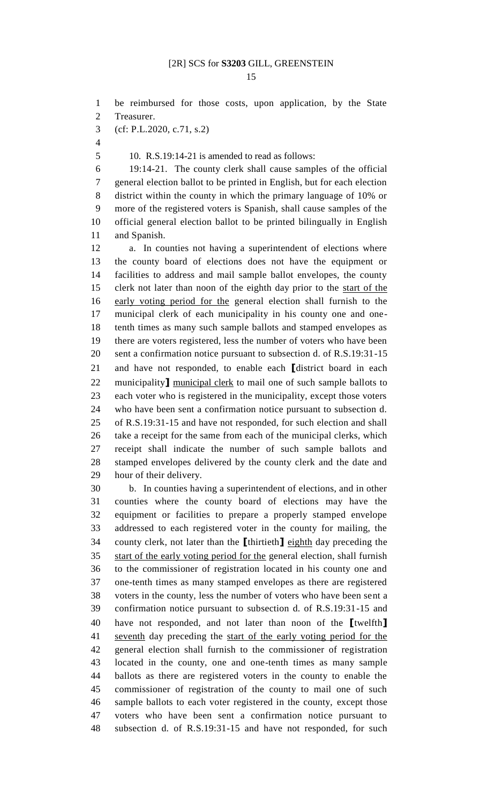be reimbursed for those costs, upon application, by the State Treasurer. (cf: P.L.2020, c.71, s.2) 10. R.S.19:14-21 is amended to read as follows: 19:14-21. The county clerk shall cause samples of the official general election ballot to be printed in English, but for each election district within the county in which the primary language of 10% or more of the registered voters is Spanish, shall cause samples of the official general election ballot to be printed bilingually in English and Spanish. a. In counties not having a superintendent of elections where the county board of elections does not have the equipment or facilities to address and mail sample ballot envelopes, the county clerk not later than noon of the eighth day prior to the start of the early voting period for the general election shall furnish to the municipal clerk of each municipality in his county one and one- tenth times as many such sample ballots and stamped envelopes as there are voters registered, less the number of voters who have been sent a confirmation notice pursuant to subsection d. of R.S.19:31-15 and have not responded, to enable each **[**district board in each municipality**]** municipal clerk to mail one of such sample ballots to each voter who is registered in the municipality, except those voters who have been sent a confirmation notice pursuant to subsection d. of R.S.19:31-15 and have not responded, for such election and shall take a receipt for the same from each of the municipal clerks, which receipt shall indicate the number of such sample ballots and stamped envelopes delivered by the county clerk and the date and hour of their delivery. b. In counties having a superintendent of elections, and in other counties where the county board of elections may have the equipment or facilities to prepare a properly stamped envelope addressed to each registered voter in the county for mailing, the county clerk, not later than the **[**thirtieth**]** eighth day preceding the start of the early voting period for the general election, shall furnish to the commissioner of registration located in his county one and one-tenth times as many stamped envelopes as there are registered voters in the county, less the number of voters who have been sent a confirmation notice pursuant to subsection d. of R.S.19:31-15 and have not responded, and not later than noon of the **[**twelfth**]** seventh day preceding the start of the early voting period for the

 general election shall furnish to the commissioner of registration located in the county, one and one-tenth times as many sample ballots as there are registered voters in the county to enable the commissioner of registration of the county to mail one of such sample ballots to each voter registered in the county, except those voters who have been sent a confirmation notice pursuant to subsection d. of R.S.19:31-15 and have not responded, for such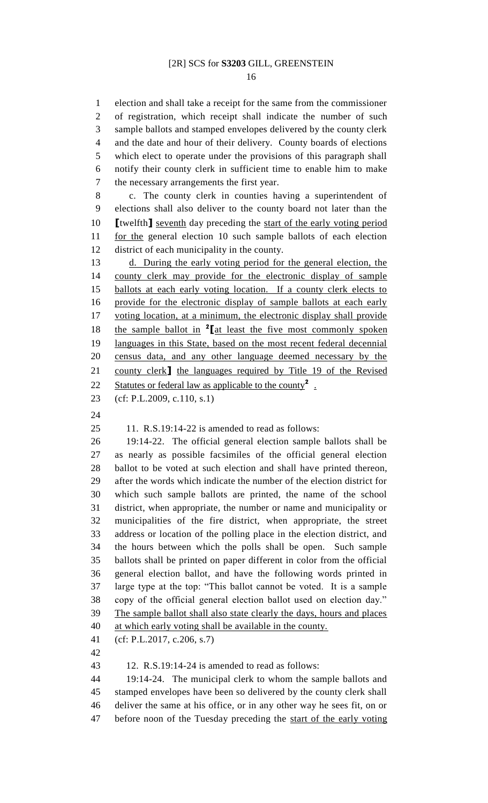election and shall take a receipt for the same from the commissioner of registration, which receipt shall indicate the number of such sample ballots and stamped envelopes delivered by the county clerk and the date and hour of their delivery. County boards of elections which elect to operate under the provisions of this paragraph shall notify their county clerk in sufficient time to enable him to make the necessary arrangements the first year.

 c. The county clerk in counties having a superintendent of elections shall also deliver to the county board not later than the **[**twelfth**]** seventh day preceding the start of the early voting period for the general election 10 such sample ballots of each election district of each municipality in the county.

 d. During the early voting period for the general election, the county clerk may provide for the electronic display of sample ballots at each early voting location. If a county clerk elects to provide for the electronic display of sample ballots at each early voting location, at a minimum, the electronic display shall provide 18 the sample ballot in <sup>2</sup> [at least the five most commonly spoken languages in this State, based on the most recent federal decennial census data, and any other language deemed necessary by the county clerk**]** the languages required by Title 19 of the Revised 22 Statutes or federal law as applicable to the county<sup>2</sup>.

- (cf: P.L.2009, c.110, s.1)
- 

11. R.S.19:14-22 is amended to read as follows:

 19:14-22. The official general election sample ballots shall be as nearly as possible facsimiles of the official general election ballot to be voted at such election and shall have printed thereon, after the words which indicate the number of the election district for which such sample ballots are printed, the name of the school district, when appropriate, the number or name and municipality or municipalities of the fire district, when appropriate, the street address or location of the polling place in the election district, and the hours between which the polls shall be open. Such sample ballots shall be printed on paper different in color from the official general election ballot, and have the following words printed in large type at the top: "This ballot cannot be voted. It is a sample copy of the official general election ballot used on election day." The sample ballot shall also state clearly the days, hours and places at which early voting shall be available in the county.

 (cf: P.L.2017, c.206, s.7) 

12. R.S.19:14-24 is amended to read as follows:

 19:14-24. The municipal clerk to whom the sample ballots and stamped envelopes have been so delivered by the county clerk shall deliver the same at his office, or in any other way he sees fit, on or before noon of the Tuesday preceding the start of the early voting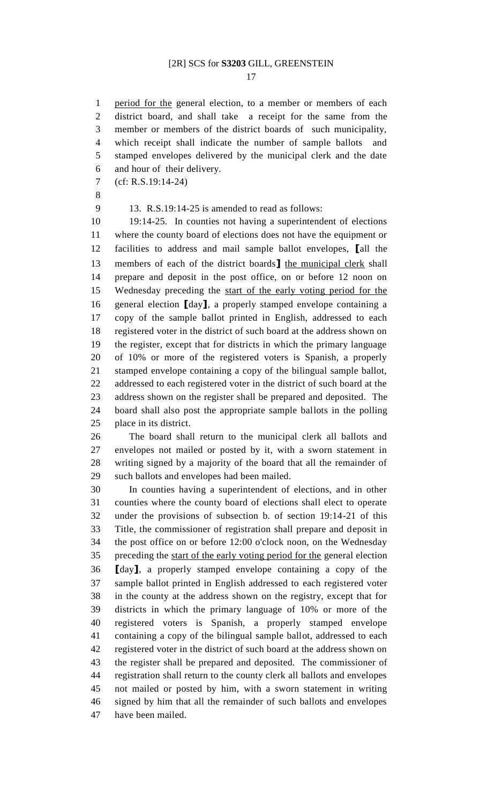period for the general election, to a member or members of each district board, and shall take a receipt for the same from the member or members of the district boards of such municipality, which receipt shall indicate the number of sample ballots and stamped envelopes delivered by the municipal clerk and the date and hour of their delivery.

- (cf: R.S.19:14-24)
- 

13. R.S.19:14-25 is amended to read as follows:

 19:14-25. In counties not having a superintendent of elections where the county board of elections does not have the equipment or facilities to address and mail sample ballot envelopes, **[**all the members of each of the district boards**]** the municipal clerk shall prepare and deposit in the post office, on or before 12 noon on Wednesday preceding the start of the early voting period for the general election **[**day**]**, a properly stamped envelope containing a copy of the sample ballot printed in English, addressed to each registered voter in the district of such board at the address shown on the register, except that for districts in which the primary language of 10% or more of the registered voters is Spanish, a properly stamped envelope containing a copy of the bilingual sample ballot, addressed to each registered voter in the district of such board at the address shown on the register shall be prepared and deposited. The board shall also post the appropriate sample ballots in the polling place in its district.

 The board shall return to the municipal clerk all ballots and envelopes not mailed or posted by it, with a sworn statement in writing signed by a majority of the board that all the remainder of such ballots and envelopes had been mailed.

 In counties having a superintendent of elections, and in other counties where the county board of elections shall elect to operate under the provisions of subsection b. of section 19:14-21 of this Title, the commissioner of registration shall prepare and deposit in the post office on or before 12:00 o'clock noon, on the Wednesday 35 preceding the start of the early voting period for the general election **[**day**]**, a properly stamped envelope containing a copy of the sample ballot printed in English addressed to each registered voter in the county at the address shown on the registry, except that for districts in which the primary language of 10% or more of the registered voters is Spanish, a properly stamped envelope containing a copy of the bilingual sample ballot, addressed to each registered voter in the district of such board at the address shown on the register shall be prepared and deposited. The commissioner of registration shall return to the county clerk all ballots and envelopes not mailed or posted by him, with a sworn statement in writing signed by him that all the remainder of such ballots and envelopes have been mailed.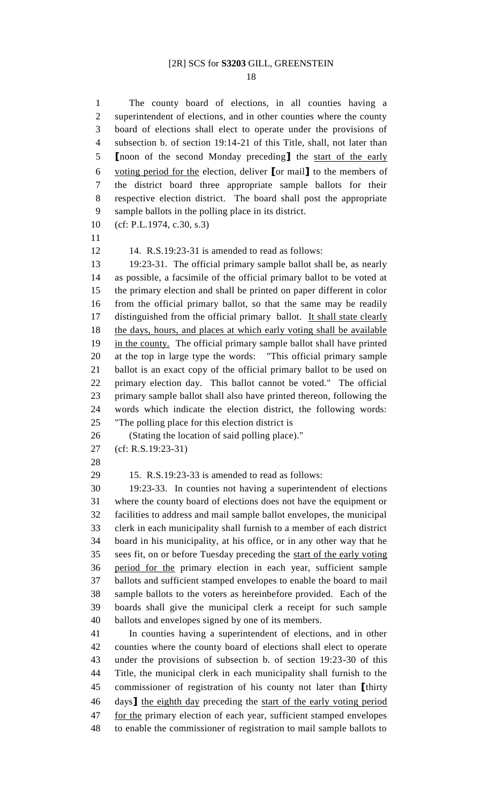The county board of elections, in all counties having a 2 superintendent of elections, and in other counties where the county board of elections shall elect to operate under the provisions of subsection b. of section 19:14-21 of this Title, shall, not later than **[**noon of the second Monday preceding**]** the start of the early voting period for the election, deliver **[**or mail**]** to the members of the district board three appropriate sample ballots for their respective election district. The board shall post the appropriate sample ballots in the polling place in its district. (cf: P.L.1974, c.30, s.3)

14. R.S.19:23-31 is amended to read as follows:

 19:23-31. The official primary sample ballot shall be, as nearly as possible, a facsimile of the official primary ballot to be voted at the primary election and shall be printed on paper different in color from the official primary ballot, so that the same may be readily 17 distinguished from the official primary ballot. It shall state clearly 18 the days, hours, and places at which early voting shall be available 19 in the county. The official primary sample ballot shall have printed at the top in large type the words: "This official primary sample ballot is an exact copy of the official primary ballot to be used on primary election day. This ballot cannot be voted." The official primary sample ballot shall also have printed thereon, following the words which indicate the election district, the following words: "The polling place for this election district is

(Stating the location of said polling place)."

- (cf: R.S.19:23-31)
- 

15. R.S.19:23-33 is amended to read as follows:

 19:23-33. In counties not having a superintendent of elections where the county board of elections does not have the equipment or facilities to address and mail sample ballot envelopes, the municipal clerk in each municipality shall furnish to a member of each district board in his municipality, at his office, or in any other way that he sees fit, on or before Tuesday preceding the start of the early voting period for the primary election in each year, sufficient sample ballots and sufficient stamped envelopes to enable the board to mail sample ballots to the voters as hereinbefore provided. Each of the boards shall give the municipal clerk a receipt for such sample ballots and envelopes signed by one of its members.

 In counties having a superintendent of elections, and in other counties where the county board of elections shall elect to operate under the provisions of subsection b. of section 19:23-30 of this Title, the municipal clerk in each municipality shall furnish to the commissioner of registration of his county not later than **[**thirty days**]** the eighth day preceding the start of the early voting period 47 for the primary election of each year, sufficient stamped envelopes to enable the commissioner of registration to mail sample ballots to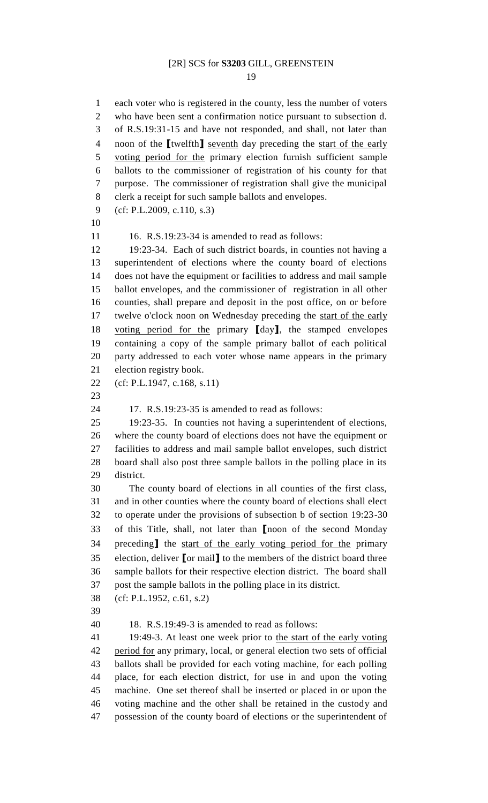each voter who is registered in the county, less the number of voters who have been sent a confirmation notice pursuant to subsection d. of R.S.19:31-15 and have not responded, and shall, not later than noon of the **[**twelfth**]** seventh day preceding the start of the early 5 voting period for the primary election furnish sufficient sample ballots to the commissioner of registration of his county for that purpose. The commissioner of registration shall give the municipal clerk a receipt for such sample ballots and envelopes. (cf: P.L.2009, c.110, s.3)  $16.$  R.S.19:23-34 is amended to read as follows: 19:23-34. Each of such district boards, in counties not having a superintendent of elections where the county board of elections does not have the equipment or facilities to address and mail sample ballot envelopes, and the commissioner of registration in all other counties, shall prepare and deposit in the post office, on or before 17 twelve o'clock noon on Wednesday preceding the start of the early voting period for the primary **[**day**]**, the stamped envelopes containing a copy of the sample primary ballot of each political party addressed to each voter whose name appears in the primary election registry book. (cf: P.L.1947, c.168, s.11) 17. R.S.19:23-35 is amended to read as follows: 19:23-35. In counties not having a superintendent of elections, where the county board of elections does not have the equipment or facilities to address and mail sample ballot envelopes, such district board shall also post three sample ballots in the polling place in its district. The county board of elections in all counties of the first class, and in other counties where the county board of elections shall elect to operate under the provisions of subsection b of section 19:23-30 of this Title, shall, not later than **[**noon of the second Monday preceding**]** the start of the early voting period for the primary election, deliver **[**or mail**]** to the members of the district board three sample ballots for their respective election district. The board shall post the sample ballots in the polling place in its district. (cf: P.L.1952, c.61, s.2) 18. R.S.19:49-3 is amended to read as follows: 41 19:49-3. At least one week prior to the start of the early voting 42 period for any primary, local, or general election two sets of official ballots shall be provided for each voting machine, for each polling place, for each election district, for use in and upon the voting machine. One set thereof shall be inserted or placed in or upon the voting machine and the other shall be retained in the custody and possession of the county board of elections or the superintendent of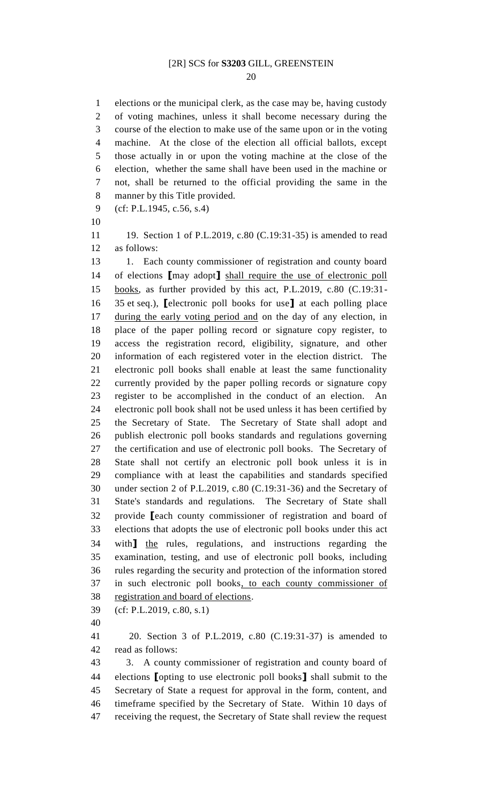elections or the municipal clerk, as the case may be, having custody of voting machines, unless it shall become necessary during the course of the election to make use of the same upon or in the voting machine. At the close of the election all official ballots, except those actually in or upon the voting machine at the close of the election, whether the same shall have been used in the machine or not, shall be returned to the official providing the same in the manner by this Title provided.

(cf: P.L.1945, c.56, s.4)

 19. Section 1 of P.L.2019, c.80 (C.19:31-35) is amended to read as follows:

13 1. Each county commissioner of registration and county board of elections **[**may adopt**]** shall require the use of electronic poll books, as further provided by this act, P.L.2019, c.80 (C.19:31- 35 et seq.), **[**electronic poll books for use**]** at each polling place during the early voting period and on the day of any election, in place of the paper polling record or signature copy register, to access the registration record, eligibility, signature, and other information of each registered voter in the election district. The electronic poll books shall enable at least the same functionality currently provided by the paper polling records or signature copy register to be accomplished in the conduct of an election. An electronic poll book shall not be used unless it has been certified by the Secretary of State. The Secretary of State shall adopt and publish electronic poll books standards and regulations governing the certification and use of electronic poll books. The Secretary of State shall not certify an electronic poll book unless it is in compliance with at least the capabilities and standards specified under section 2 of P.L.2019, c.80 (C.19:31-36) and the Secretary of State's standards and regulations. The Secretary of State shall provide **[**each county commissioner of registration and board of elections that adopts the use of electronic poll books under this act with**]** the rules, regulations, and instructions regarding the examination, testing, and use of electronic poll books, including rules regarding the security and protection of the information stored in such electronic poll books, to each county commissioner of registration and board of elections.

(cf: P.L.2019, c.80, s.1)

 20. Section 3 of P.L.2019, c.80 (C.19:31-37) is amended to read as follows:

 3. A county commissioner of registration and county board of elections **[**opting to use electronic poll books**]** shall submit to the Secretary of State a request for approval in the form, content, and timeframe specified by the Secretary of State. Within 10 days of receiving the request, the Secretary of State shall review the request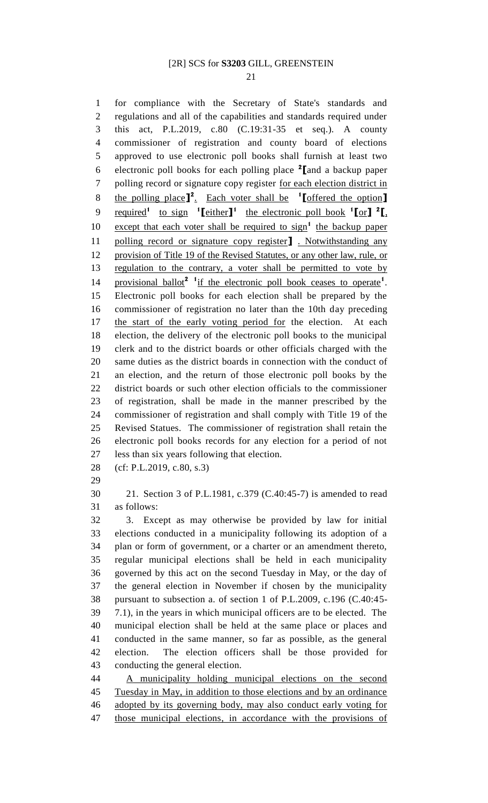for compliance with the Secretary of State's standards and

 regulations and all of the capabilities and standards required under this act, P.L.2019, c.80 (C.19:31-35 et seq.). A county commissioner of registration and county board of elections approved to use electronic poll books shall furnish at least two electronic poll books for each polling place **<sup>2</sup> [**and a backup paper polling record or signature copy register for each election district in the polling place**] 2** . Each voter shall be **1 [**offered the option**]** 9 required<sup>1</sup> to sign  $\left[ \text{either} \right]$ <sup>1</sup> the electronic poll book  $\left[ \text{for} \right]$   $\left[ \text{or} \right]$ 10 except that each voter shall be required to sign<sup>1</sup> the backup paper polling record or signature copy register**]** . Notwithstanding any provision of Title 19 of the Revised Statutes, or any other law, rule, or 13 regulation to the contrary, a voter shall be permitted to vote by 14 provisional ballot<sup>2</sup> <sup>1</sup> if the electronic poll book ceases to operate<sup>1</sup>. Electronic poll books for each election shall be prepared by the commissioner of registration no later than the 10th day preceding the start of the early voting period for the election. At each election, the delivery of the electronic poll books to the municipal clerk and to the district boards or other officials charged with the same duties as the district boards in connection with the conduct of an election, and the return of those electronic poll books by the district boards or such other election officials to the commissioner of registration, shall be made in the manner prescribed by the commissioner of registration and shall comply with Title 19 of the Revised Statues. The commissioner of registration shall retain the electronic poll books records for any election for a period of not less than six years following that election. (cf: P.L.2019, c.80, s.3) 21. Section 3 of P.L.1981, c.379 (C.40:45-7) is amended to read as follows: 3. Except as may otherwise be provided by law for initial elections conducted in a municipality following its adoption of a plan or form of government, or a charter or an amendment thereto, regular municipal elections shall be held in each municipality governed by this act on the second Tuesday in May, or the day of the general election in November if chosen by the municipality pursuant to subsection a. of section 1 of P.L.2009, c.196 (C.40:45- 7.1), in the years in which municipal officers are to be elected. The municipal election shall be held at the same place or places and conducted in the same manner, so far as possible, as the general election. The election officers shall be those provided for conducting the general election. A municipality holding municipal elections on the second Tuesday in May, in addition to those elections and by an ordinance

adopted by its governing body, may also conduct early voting for

those municipal elections, in accordance with the provisions of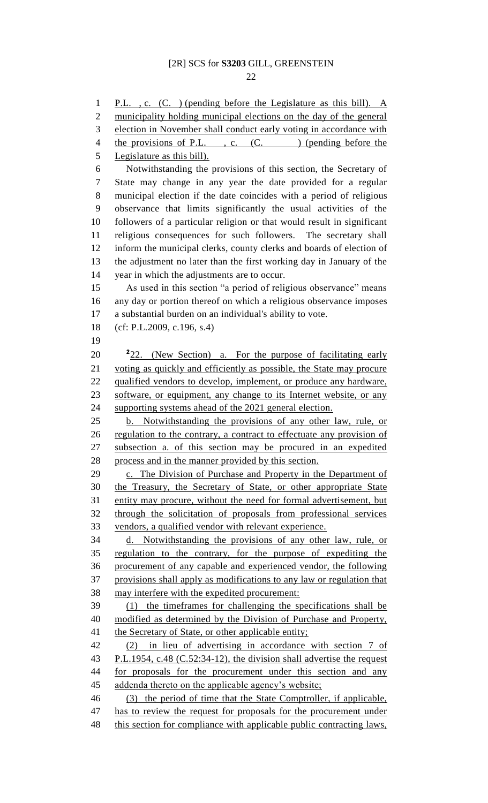P.L. , c. (C. ) (pending before the Legislature as this bill). A municipality holding municipal elections on the day of the general election in November shall conduct early voting in accordance with 4 the provisions of P.L., c. (C.) (pending before the Legislature as this bill). Notwithstanding the provisions of this section, the Secretary of State may change in any year the date provided for a regular municipal election if the date coincides with a period of religious observance that limits significantly the usual activities of the followers of a particular religion or that would result in significant religious consequences for such followers. The secretary shall inform the municipal clerks, county clerks and boards of election of the adjustment no later than the first working day in January of the year in which the adjustments are to occur. As used in this section "a period of religious observance" means any day or portion thereof on which a religious observance imposes a substantial burden on an individual's ability to vote. (cf: P.L.2009, c.196, s.4) 20 <sup>2</sup>22. (New Section) a. For the purpose of facilitating early voting as quickly and efficiently as possible, the State may procure 22 qualified vendors to develop, implement, or produce any hardware, software, or equipment, any change to its Internet website, or any supporting systems ahead of the 2021 general election. b. Notwithstanding the provisions of any other law, rule, or regulation to the contrary, a contract to effectuate any provision of subsection a. of this section may be procured in an expedited process and in the manner provided by this section. 29 c. The Division of Purchase and Property in the Department of the Treasury, the Secretary of State, or other appropriate State entity may procure, without the need for formal advertisement, but through the solicitation of proposals from professional services vendors, a qualified vendor with relevant experience. d. Notwithstanding the provisions of any other law, rule, or regulation to the contrary, for the purpose of expediting the procurement of any capable and experienced vendor, the following provisions shall apply as modifications to any law or regulation that may interfere with the expedited procurement: (1) the timeframes for challenging the specifications shall be modified as determined by the Division of Purchase and Property, 41 the Secretary of State, or other applicable entity; (2) in lieu of advertising in accordance with section 7 of 43 P.L.1954, c.48 (C.52:34-12), the division shall advertise the request 44 for proposals for the procurement under this section and any addenda thereto on the applicable agency's website; (3) the period of time that the State Comptroller, if applicable, has to review the request for proposals for the procurement under 48 this section for compliance with applicable public contracting laws,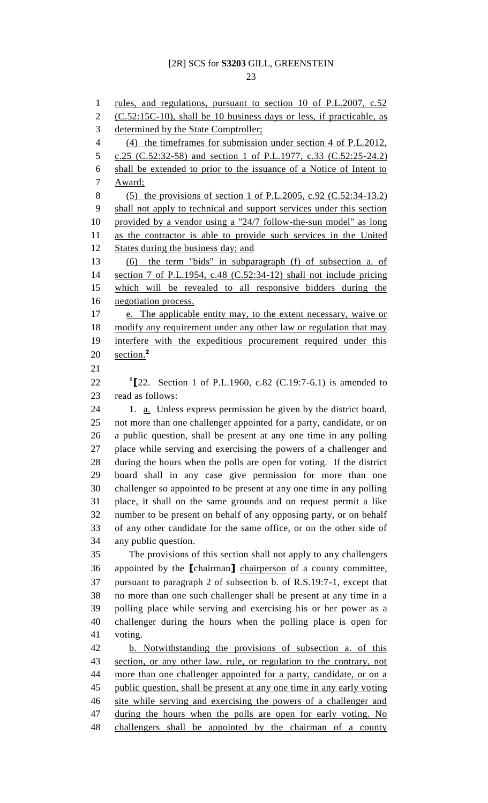rules, and regulations, pursuant to section 10 of P.L.2007, c.52 (C.52:15C-10), shall be 10 business days or less, if practicable, as determined by the State Comptroller; (4) the timeframes for submission under section 4 of P.L.2012, c.25 (C.52:32-58) and section 1 of P.L.1977, c.33 (C.52:25-24.2) shall be extended to prior to the issuance of a Notice of Intent to Award; (5) the provisions of section 1 of P.L.2005, c.92 (C.52:34-13.2) shall not apply to technical and support services under this section provided by a vendor using a "24/7 follow-the-sun model" as long as the contractor is able to provide such services in the United 12 States during the business day; and (6) the term "bids" in subparagraph (f) of subsection a. of section 7 of P.L.1954, c.48 (C.52:34-12) shall not include pricing which will be revealed to all responsive bidders during the negotiation process. e. The applicable entity may, to the extent necessary, waive or 18 modify any requirement under any other law or regulation that may interfere with the expeditious procurement required under this section.**<sup>2</sup> [**22. Section 1 of P.L.1960, c.82 (C.19:7-6.1) is amended to read as follows: 1. a. Unless express permission be given by the district board, not more than one challenger appointed for a party, candidate, or on a public question, shall be present at any one time in any polling place while serving and exercising the powers of a challenger and during the hours when the polls are open for voting. If the district board shall in any case give permission for more than one challenger so appointed to be present at any one time in any polling place, it shall on the same grounds and on request permit a like number to be present on behalf of any opposing party, or on behalf of any other candidate for the same office, or on the other side of any public question. The provisions of this section shall not apply to any challengers appointed by the **[**chairman**]** chairperson of a county committee, pursuant to paragraph 2 of subsection b. of R.S.19:7-1, except that no more than one such challenger shall be present at any time in a polling place while serving and exercising his or her power as a challenger during the hours when the polling place is open for voting. b. Notwithstanding the provisions of subsection a. of this section, or any other law, rule, or regulation to the contrary, not more than one challenger appointed for a party, candidate, or on a public question, shall be present at any one time in any early voting site while serving and exercising the powers of a challenger and during the hours when the polls are open for early voting. No challengers shall be appointed by the chairman of a county